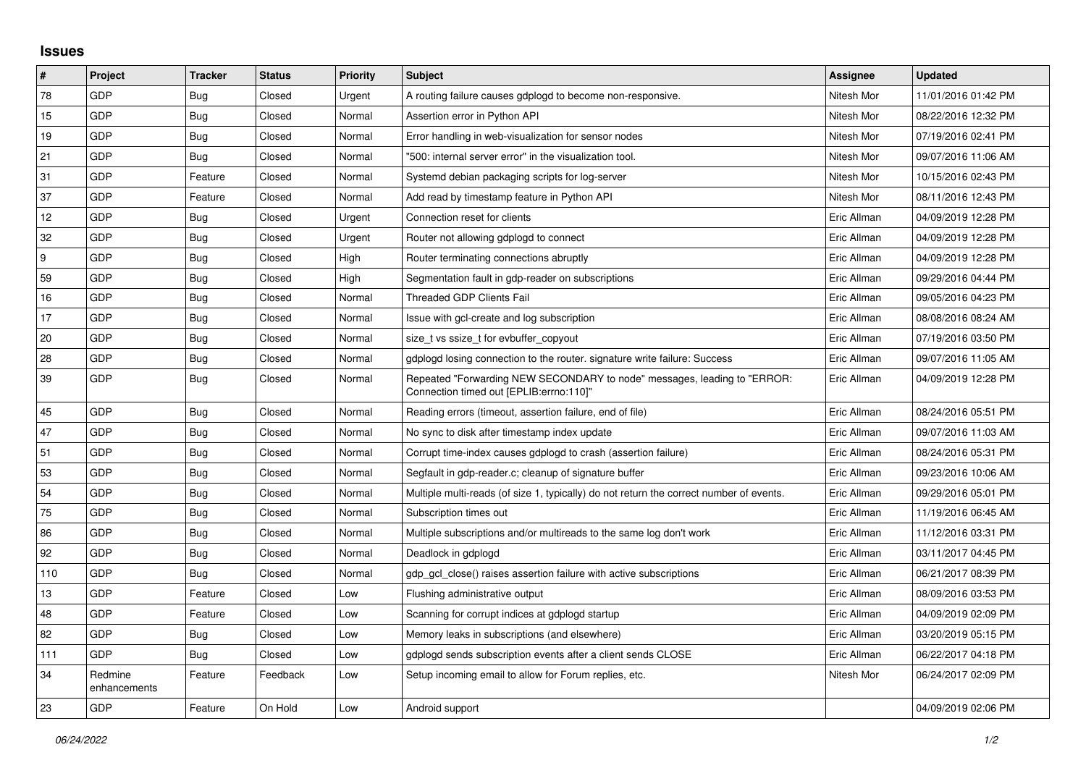## **Issues**

| $\#$ | Project                 | <b>Tracker</b> | <b>Status</b> | <b>Priority</b> | <b>Subject</b>                                                                                                      | <b>Assignee</b> | <b>Updated</b>      |
|------|-------------------------|----------------|---------------|-----------------|---------------------------------------------------------------------------------------------------------------------|-----------------|---------------------|
| 78   | GDP                     | <b>Bug</b>     | Closed        | Urgent          | A routing failure causes gdplogd to become non-responsive.                                                          | Nitesh Mor      | 11/01/2016 01:42 PM |
| 15   | <b>GDP</b>              | Bug            | Closed        | Normal          | Assertion error in Python API                                                                                       | Nitesh Mor      | 08/22/2016 12:32 PM |
| 19   | GDP                     | Bug            | Closed        | Normal          | Error handling in web-visualization for sensor nodes                                                                | Nitesh Mor      | 07/19/2016 02:41 PM |
| 21   | GDP                     | <b>Bug</b>     | Closed        | Normal          | "500: internal server error" in the visualization tool.                                                             | Nitesh Mor      | 09/07/2016 11:06 AM |
| 31   | <b>GDP</b>              | Feature        | Closed        | Normal          | Systemd debian packaging scripts for log-server                                                                     | Nitesh Mor      | 10/15/2016 02:43 PM |
| 37   | GDP                     | Feature        | Closed        | Normal          | Add read by timestamp feature in Python API                                                                         | Nitesh Mor      | 08/11/2016 12:43 PM |
| 12   | <b>GDP</b>              | Bug            | Closed        | Urgent          | Connection reset for clients                                                                                        | Eric Allman     | 04/09/2019 12:28 PM |
| 32   | GDP                     | <b>Bug</b>     | Closed        | Urgent          | Router not allowing gdplogd to connect                                                                              | Eric Allman     | 04/09/2019 12:28 PM |
| 9    | GDP                     | <b>Bug</b>     | Closed        | High            | Router terminating connections abruptly                                                                             | Eric Allman     | 04/09/2019 12:28 PM |
| 59   | <b>GDP</b>              | Bug            | Closed        | High            | Segmentation fault in gdp-reader on subscriptions                                                                   | Eric Allman     | 09/29/2016 04:44 PM |
| 16   | GDP                     | Bug            | Closed        | Normal          | <b>Threaded GDP Clients Fail</b>                                                                                    | Eric Allman     | 09/05/2016 04:23 PM |
| 17   | GDP                     | Bug            | Closed        | Normal          | Issue with gcl-create and log subscription                                                                          | Eric Allman     | 08/08/2016 08:24 AM |
| 20   | <b>GDP</b>              | <b>Bug</b>     | Closed        | Normal          | size t vs ssize t for evbuffer copyout                                                                              | Eric Allman     | 07/19/2016 03:50 PM |
| 28   | GDP                     | <b>Bug</b>     | Closed        | Normal          | gdplogd losing connection to the router. signature write failure: Success                                           | Eric Allman     | 09/07/2016 11:05 AM |
| 39   | GDP                     | Bug            | Closed        | Normal          | Repeated "Forwarding NEW SECONDARY to node" messages, leading to "ERROR:<br>Connection timed out [EPLIB:errno:110]" | Eric Allman     | 04/09/2019 12:28 PM |
| 45   | GDP                     | <b>Bug</b>     | Closed        | Normal          | Reading errors (timeout, assertion failure, end of file)                                                            | Eric Allman     | 08/24/2016 05:51 PM |
| 47   | GDP                     | <b>Bug</b>     | Closed        | Normal          | No sync to disk after timestamp index update                                                                        | Eric Allman     | 09/07/2016 11:03 AM |
| 51   | <b>GDP</b>              | <b>Bug</b>     | Closed        | Normal          | Corrupt time-index causes gdplogd to crash (assertion failure)                                                      | Eric Allman     | 08/24/2016 05:31 PM |
| 53   | GDP                     | Bug            | Closed        | Normal          | Segfault in gdp-reader.c; cleanup of signature buffer                                                               | Eric Allman     | 09/23/2016 10:06 AM |
| 54   | GDP                     | Bug            | Closed        | Normal          | Multiple multi-reads (of size 1, typically) do not return the correct number of events.                             | Eric Allman     | 09/29/2016 05:01 PM |
| 75   | <b>GDP</b>              | <b>Bug</b>     | Closed        | Normal          | Subscription times out                                                                                              | Eric Allman     | 11/19/2016 06:45 AM |
| 86   | GDP                     | <b>Bug</b>     | Closed        | Normal          | Multiple subscriptions and/or multireads to the same log don't work                                                 | Eric Allman     | 11/12/2016 03:31 PM |
| 92   | GDP                     | <b>Bug</b>     | Closed        | Normal          | Deadlock in gdplogd                                                                                                 | Eric Allman     | 03/11/2017 04:45 PM |
| 110  | GDP                     | Bug            | Closed        | Normal          | gdp gcl close() raises assertion failure with active subscriptions                                                  | Eric Allman     | 06/21/2017 08:39 PM |
| 13   | GDP                     | Feature        | Closed        | Low             | Flushing administrative output                                                                                      | Eric Allman     | 08/09/2016 03:53 PM |
| 48   | GDP                     | Feature        | Closed        | Low             | Scanning for corrupt indices at gdplogd startup                                                                     | Eric Allman     | 04/09/2019 02:09 PM |
| 82   | GDP                     | <b>Bug</b>     | Closed        | Low             | Memory leaks in subscriptions (and elsewhere)                                                                       | Eric Allman     | 03/20/2019 05:15 PM |
| 111  | <b>GDP</b>              | <b>Bug</b>     | Closed        | Low             | adpload sends subscription events after a client sends CLOSE                                                        | Eric Allman     | 06/22/2017 04:18 PM |
| 34   | Redmine<br>enhancements | Feature        | Feedback      | Low             | Setup incoming email to allow for Forum replies, etc.                                                               | Nitesh Mor      | 06/24/2017 02:09 PM |
| 23   | GDP                     | Feature        | On Hold       | Low             | Android support                                                                                                     |                 | 04/09/2019 02:06 PM |